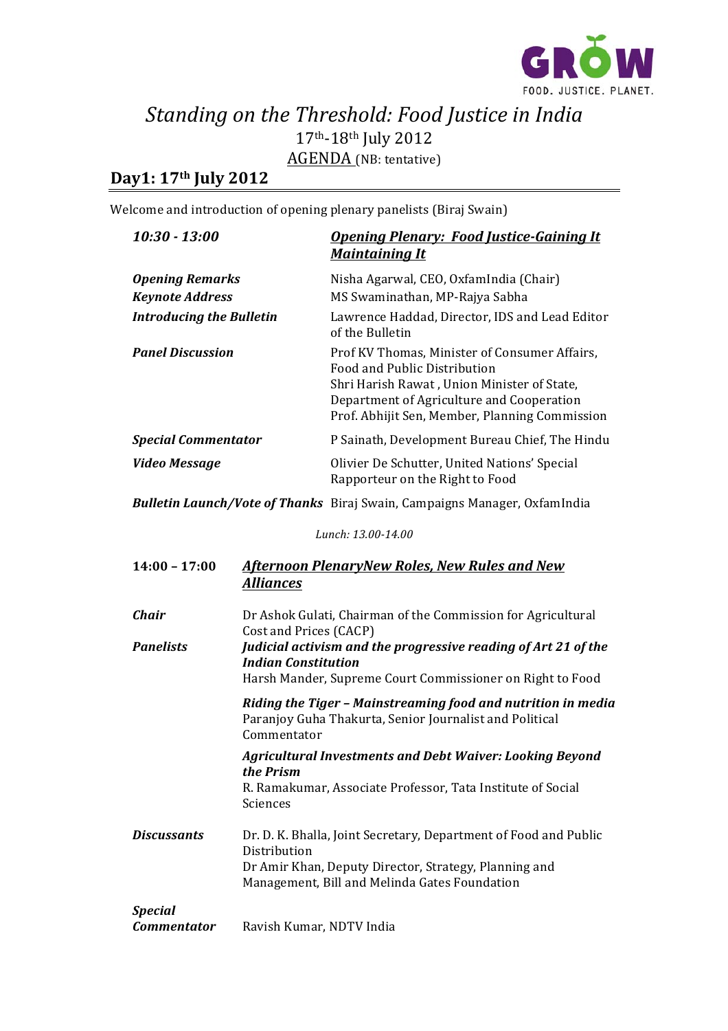

## Standing on the Threshold: Food Justice in India 17th-18th July 2012 AGENDA (NB: tentative)

## **Day1: 17th July 2012**

Welcome and introduction of opening plenary panelists (Biraj Swain)

| $10:30 - 13:00$                 |                                                                                                                                                                                            | <b>Opening Plenary: Food Justice-Gaining It</b><br><b>Maintaining It</b>                                                                                                                                                    |
|---------------------------------|--------------------------------------------------------------------------------------------------------------------------------------------------------------------------------------------|-----------------------------------------------------------------------------------------------------------------------------------------------------------------------------------------------------------------------------|
| <b>Opening Remarks</b>          |                                                                                                                                                                                            | Nisha Agarwal, CEO, OxfamIndia (Chair)                                                                                                                                                                                      |
| <b>Keynote Address</b>          |                                                                                                                                                                                            | MS Swaminathan, MP-Rajya Sabha                                                                                                                                                                                              |
| <b>Introducing the Bulletin</b> |                                                                                                                                                                                            | Lawrence Haddad, Director, IDS and Lead Editor<br>of the Bulletin                                                                                                                                                           |
| <b>Panel Discussion</b>         |                                                                                                                                                                                            | Prof KV Thomas, Minister of Consumer Affairs,<br>Food and Public Distribution<br>Shri Harish Rawat, Union Minister of State,<br>Department of Agriculture and Cooperation<br>Prof. Abhijit Sen, Member, Planning Commission |
| <b>Special Commentator</b>      |                                                                                                                                                                                            | P Sainath, Development Bureau Chief, The Hindu                                                                                                                                                                              |
| <b>Video Message</b>            |                                                                                                                                                                                            | Olivier De Schutter, United Nations' Special<br>Rapporteur on the Right to Food                                                                                                                                             |
|                                 |                                                                                                                                                                                            | <b>Bulletin Launch/Vote of Thanks</b> Biraj Swain, Campaigns Manager, OxfamIndia                                                                                                                                            |
| Lunch: 13.00-14.00              |                                                                                                                                                                                            |                                                                                                                                                                                                                             |
| $14:00 - 17:00$                 | <b>Afternoon PlenaryNew Roles, New Rules and New</b><br><b>Alliances</b>                                                                                                                   |                                                                                                                                                                                                                             |
| <b>Chair</b>                    | Dr Ashok Gulati, Chairman of the Commission for Agricultural<br>Cost and Prices (CACP)                                                                                                     |                                                                                                                                                                                                                             |
| <b>Panelists</b>                | Judicial activism and the progressive reading of Art 21 of the<br><b>Indian Constitution</b><br>Harsh Mander, Supreme Court Commissioner on Right to Food                                  |                                                                                                                                                                                                                             |
|                                 | Riding the Tiger - Mainstreaming food and nutrition in media<br>Paranjoy Guha Thakurta, Senior Journalist and Political<br>Commentator                                                     |                                                                                                                                                                                                                             |
|                                 | the Prism<br>Sciences                                                                                                                                                                      | <b>Agricultural Investments and Debt Waiver: Looking Beyond</b><br>R. Ramakumar, Associate Professor, Tata Institute of Social                                                                                              |
| <b>Discussants</b>              | Dr. D. K. Bhalla, Joint Secretary, Department of Food and Public<br>Distribution<br>Dr Amir Khan, Deputy Director, Strategy, Planning and<br>Management, Bill and Melinda Gates Foundation |                                                                                                                                                                                                                             |
| <b>Special</b>                  |                                                                                                                                                                                            |                                                                                                                                                                                                                             |

*Commentator* Ravish Kumar, NDTV India